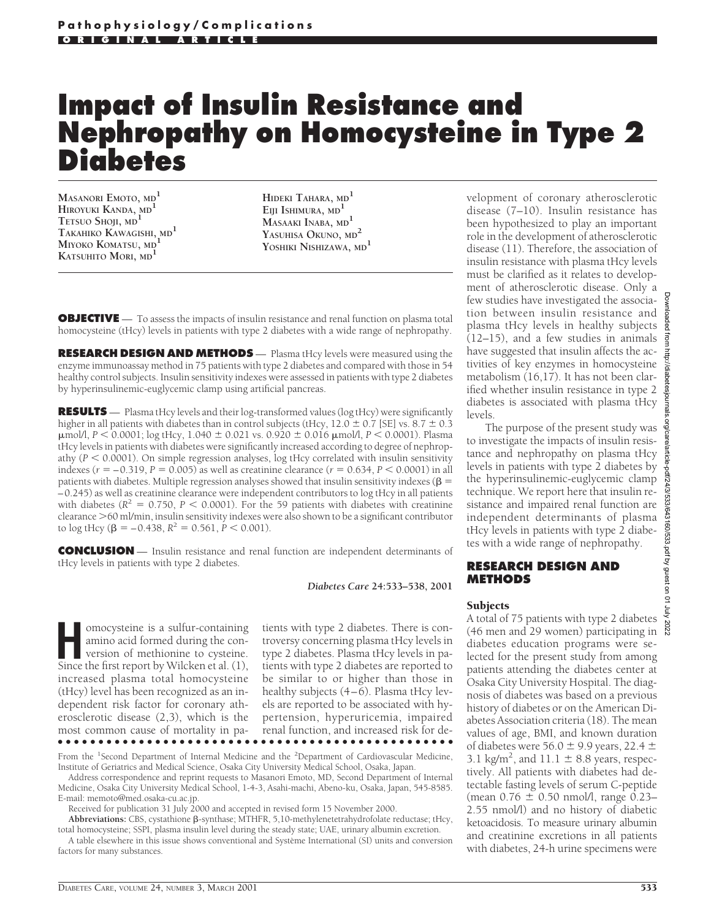# **Impact of Insulin Resistance and Nephropathy on Homocysteine in Type 2 Diabetes**

**MASANORI EMOTO, MD1 HIROYUKI KANDA, MD1 TETSUO SHOJI, MD1 TAKAHIKO KAWAGISHI, MD1 MIYOKO KOMATSU, MD1 KATSUHITO MORI, MD<sup>1</sup>**

**HIDEKI TAHARA, MD<sup>1</sup> EIJI ISHIMURA, MD<sup>1</sup> MASAAKI INABA, MD<sup>1</sup> YASUHISA OKUNO, MD<sup>2</sup> YOSHIKI NISHIZAWA, MD1**

**OBJECTIVE** — To assess the impacts of insulin resistance and renal function on plasma total homocysteine (tHcy) levels in patients with type 2 diabetes with a wide range of nephropathy.

**RESEARCH DESIGN AND METHODS** — Plasma tHcy levels were measured using the enzyme immunoassay method in 75 patients with type 2 diabetes and compared with those in 54 healthy control subjects. Insulin sensitivity indexes were assessed in patients with type 2 diabetes by hyperinsulinemic-euglycemic clamp using artificial pancreas.

**RESULTS** — Plasma tHcy levels and their log-transformed values (log tHcy) were significantly higher in all patients with diabetes than in control subjects (tHcy,  $12.0 \pm 0.7$  [SE] vs.  $8.7 \pm 0.3$ μmol/l, *P* < 0.0001; log tHcy, 1.040 ± 0.021 vs. 0.920 ± 0.016 μmol/l, *P* < 0.0001). Plasma tHcy levels in patients with diabetes were significantly increased according to degree of nephropathy ( $P < 0.0001$ ). On simple regression analyses, log tHcy correlated with insulin sensitivity indexes ( $r = -0.319$ ,  $P = 0.005$ ) as well as creatinine clearance ( $r = 0.634$ ,  $P < 0.0001$ ) in all patients with diabetes. Multiple regression analyses showed that insulin sensitivity indexes ( $\beta$  = –0.245) as well as creatinine clearance were independent contributors to log tHcy in all patients with diabetes ( $R^2 = 0.750$ ,  $P < 0.0001$ ). For the 59 patients with diabetes with creatinine clearance  $>$  60 ml/min, insulin sensitivity indexes were also shown to be a significant contributor to log tHcy ( $\beta$  = -0.438,  $R^2$  = 0.561,  $P$  < 0.001).

**CONCLUSION** — Insulin resistance and renal function are independent determinants of tHcy levels in patients with type 2 diabetes.

*Diabetes Care* **24:533–538, 2001**

**Homocysteine is a sulfur-containing<br>
amino acid formed during the con-<br>
version of methionine to cysteine.<br>
Since the first renort by Wilcken et al. (1)** amino acid formed during the con-Since the first report by Wilcken et al. (1), increased plasma total homocysteine (tHcy) level has been recognized as an independent risk factor for coronary atherosclerotic disease (2,3), which is the most common cause of mortality in pa-●●●●●●●●●●●●●●●●●●●●●●●●●●●●●●●●●●●●●●●●●●●●●●●●●

tients with type 2 diabetes. There is controversy concerning plasma tHcy levels in type 2 diabetes. Plasma tHcy levels in patients with type 2 diabetes are reported to be similar to or higher than those in healthy subjects (4–6). Plasma tHcy levels are reported to be associated with hypertension, hyperuricemia, impaired renal function, and increased risk for de-

From the <sup>1</sup>Second Department of Internal Medicine and the <sup>2</sup>Department of Cardiovascular Medicine, Institute of Geriatrics and Medical Science, Osaka City University Medical School, Osaka, Japan.

Address correspondence and reprint requests to Masanori Emoto, MD, Second Department of Internal Medicine, Osaka City University Medical School, 1-4-3, Asahi-machi, Abeno-ku, Osaka, Japan, 545-8585. E-mail: memoto@med.osaka-cu.ac.jp.

Received for publication 31 July 2000 and accepted in revised form 15 November 2000.

Abbreviations: CBS, cystathione β-synthase; MTHFR, 5,10-methylenetetrahydrofolate reductase; tHcy, total homocysteine; SSPI, plasma insulin level during the steady state; UAE, urinary albumin excretion.

A table elsewhere in this issue shows conventional and Système International (SI) units and conversion factors for many substances.

velopment of coronary atherosclerotic disease (7–10). Insulin resistance has been hypothesized to play an important role in the development of atherosclerotic disease (11). Therefore, the association of insulin resistance with plasma tHcy levels must be clarified as it relates to development of atherosclerotic disease. Only a few studies have investigated the association between insulin resistance and plasma tHcy levels in healthy subjects  $(12-15)$ , and a few studies in animals  $\frac{3}{9}$ have suggested that insulin affects the activities of key enzymes in homocysteine metabolism (16,17). It has not been clarified whether insulin resistance in type 2 diabetes is associated with plasma tHcy levels.

The purpose of the present study was to investigate the impacts of insulin resistance and nephropathy on plasma tHcy levels in patients with type 2 diabetes by the hyperinsulinemic-euglycemic clamp technique. We report here that insulin resistance and impaired renal function are independent determinants of plasma tHcy levels in patients with type 2 diabetes with a wide range of nephropathy.

### **RESEARCH DESIGN AND METHODS**

#### Subjects

A total of 75 patients with type 2 diabetes (46 men and 29 women) participating in diabetes education programs were selected for the present study from among patients attending the diabetes center at Osaka City University Hospital. The diagnosis of diabetes was based on a previous history of diabetes or on the American Diabetes Association criteria (18). The mean values of age, BMI, and known duration of diabetes were 56.0  $\pm$  9.9 years, 22.4  $\pm$ 3.1 kg/m<sup>2</sup>, and 11.1  $\pm$  8.8 years, respectively. All patients with diabetes had detectable fasting levels of serum C-peptide (mean  $0.76 \pm 0.50$  nmol/l, range  $0.23-$ 2.55 nmol/l) and no history of diabetic ketoacidosis. To measure urinary albumin and creatinine excretions in all patients with diabetes, 24-h urine specimens were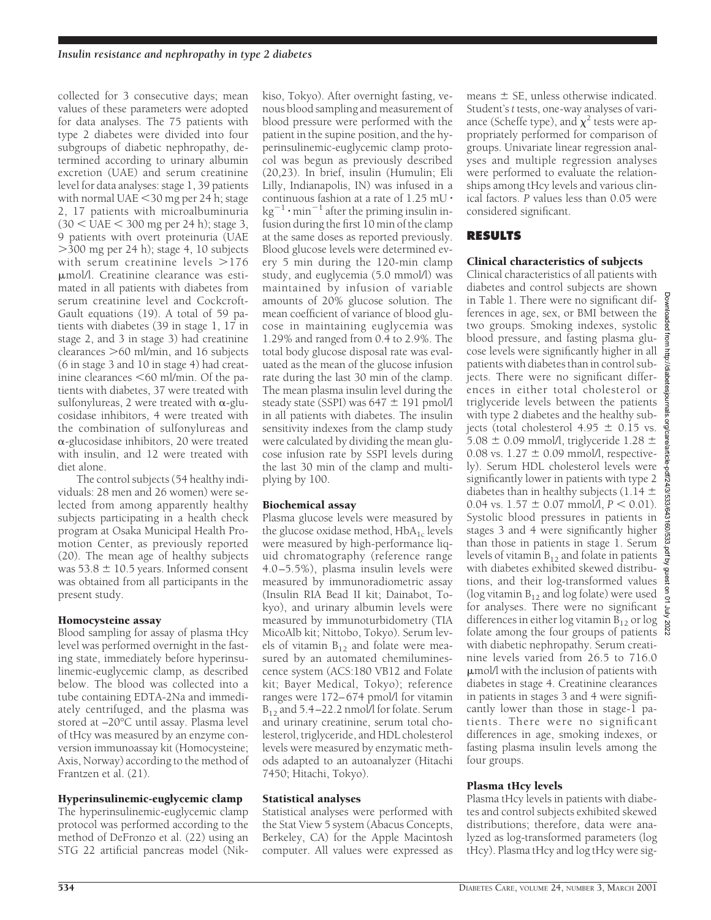collected for 3 consecutive days; mean values of these parameters were adopted for data analyses. The 75 patients with type 2 diabetes were divided into four subgroups of diabetic nephropathy, determined according to urinary albumin excretion (UAE) and serum creatinine level for data analyses: stage 1, 39 patients with normal UAE  $<$  30 mg per 24 h; stage 2, 17 patients with microalbuminuria  $(30 < \text{UAE} < 300 \text{ mg per 24 h})$ ; stage 3, 9 patients with overt proteinuria (UAE  $>300$  mg per 24 h); stage 4, 10 subjects with serum creatinine levels  $>176$ mmol/l. Creatinine clearance was estimated in all patients with diabetes from serum creatinine level and Cockcroft-Gault equations (19). A total of 59 patients with diabetes (39 in stage 1, 17 in stage 2, and 3 in stage 3) had creatinine clearances  $>60$  ml/min, and 16 subjects (6 in stage 3 and 10 in stage 4) had creatinine clearances  $<$  60 ml/min. Of the patients with diabetes, 37 were treated with sulfonylureas, 2 were treated with  $\alpha$ -glucosidase inhibitors, 4 were treated with the combination of sulfonylureas and  $\alpha$ -glucosidase inhibitors, 20 were treated with insulin, and 12 were treated with diet alone.

The control subjects (54 healthy individuals: 28 men and 26 women) were selected from among apparently healthy subjects participating in a health check program at Osaka Municipal Health Promotion Center, as previously reported (20). The mean age of healthy subjects was  $53.8 \pm 10.5$  years. Informed consent was obtained from all participants in the present study.

# Homocysteine assay

Blood sampling for assay of plasma tHcy level was performed overnight in the fasting state, immediately before hyperinsulinemic-euglycemic clamp, as described below. The blood was collected into a tube containing EDTA-2Na and immediately centrifuged, and the plasma was stored at –20°C until assay. Plasma level of tHcy was measured by an enzyme conversion immunoassay kit (Homocysteine; Axis, Norway) according to the method of Frantzen et al. (21).

## Hyperinsulinemic-euglycemic clamp

The hyperinsulinemic-euglycemic clamp protocol was performed according to the method of DeFronzo et al. (22) using an STG 22 artificial pancreas model (Nikkiso, Tokyo). After overnight fasting, venous blood sampling and measurement of blood pressure were performed with the patient in the supine position, and the hyperinsulinemic-euglycemic clamp protocol was begun as previously described (20,23). In brief, insulin (Humulin; Eli Lilly, Indianapolis, IN) was infused in a continuous fashion at a rate of 1.25 mU $\cdot$  $kg^{-1} \cdot min^{-1}$  after the priming insulin infusion during the first 10 min of the clamp at the same doses as reported previously. Blood glucose levels were determined every 5 min during the 120-min clamp study, and euglycemia (5.0 mmol/l) was maintained by infusion of variable amounts of 20% glucose solution. The mean coefficient of variance of blood glucose in maintaining euglycemia was 1.29% and ranged from 0.4 to 2.9%. The total body glucose disposal rate was evaluated as the mean of the glucose infusion rate during the last 30 min of the clamp. The mean plasma insulin level during the steady state (SSPI) was  $647 \pm 191$  pmol/l in all patients with diabetes. The insulin sensitivity indexes from the clamp study were calculated by dividing the mean glucose infusion rate by SSPI levels during the last 30 min of the clamp and multiplying by 100.

# Biochemical assay

Plasma glucose levels were measured by the glucose oxidase method,  $HbA_{1c}$  levels were measured by high-performance liquid chromatography (reference range 4.0–5.5%), plasma insulin levels were measured by immunoradiometric assay (Insulin RIA Bead II kit; Dainabot, Tokyo), and urinary albumin levels were measured by immunoturbidometry (TIA MicoAlb kit; Nittobo, Tokyo). Serum levels of vitamin  $B_{12}$  and folate were measured by an automated chemiluminescence system (ACS:180 VB12 and Folate kit; Bayer Medical, Tokyo); reference ranges were 172–674 pmol/l for vitamin  $B_{12}$  and 5.4–22.2 nmol/l for folate. Serum and urinary creatinine, serum total cholesterol, triglyceride, and HDL cholesterol levels were measured by enzymatic methods adapted to an autoanalyzer (Hitachi 7450; Hitachi, Tokyo).

## Statistical analyses

Statistical analyses were performed with the Stat View 5 system (Abacus Concepts, Berkeley, CA) for the Apple Macintosh computer. All values were expressed as means  $\pm$  SE, unless otherwise indicated. Student's *t* tests, one-way analyses of variance (Scheffe type), and  $\chi^2$  tests were appropriately performed for comparison of groups. Univariate linear regression analyses and multiple regression analyses were performed to evaluate the relationships among tHcy levels and various clinical factors. *P* values less than 0.05 were considered significant.

# **RESULTS**

# Clinical characteristics of subjects

Clinical characteristics of all patients with diabetes and control subjects are shown in Table 1. There were no significant differences in age, sex, or BMI between the two groups. Smoking indexes, systolic blood pressure, and fasting plasma glucose levels were significantly higher in all patients with diabetes than in control subjects. There were no significant differences in either total cholesterol or triglyceride levels between the patients with type 2 diabetes and the healthy subjects (total cholesterol  $4.95 \pm 0.15$  vs. jects (total cholesterol  $4.95 \pm 0.15$  vs. 5.08  $\pm$  0.09 mmol/l, triglyceride 1.28  $\pm$ 0.08 vs.  $1.27 \pm 0.09$  mmol/l, respectively). Serum HDL cholesterol levels were significantly lower in patients with type 2 diabetes than in healthy subjects (1.14  $\pm$  $0.04$  vs.  $1.57 \pm 0.07$  mmol/l,  $P < 0.01$ ). Systolic blood pressures in patients in stages 3 and 4 were significantly higher than those in patients in stage 1. Serum levels of vitamin B<sub>12</sub> and folate in patients with diabetes exhibited skewed distributions, and their log-transformed values (log vitamin  $B_{12}$  and log folate) were used for analyses. There were no significant  $\frac{1}{5}$ differences in either  $\log$  vitamin  $B_{12}$  or  $\log$ folate among the four groups of patients with diabetic nephropathy. Serum creatinine levels varied from 26.5 to 716.0 mmol/l with the inclusion of patients with diabetes in stage 4. Creatinine clearances in patients in stages 3 and 4 were significantly lower than those in stage-1 patients. There were no significant differences in age, smoking indexes, or fasting plasma insulin levels among the four groups.

# Plasma tHcy levels

Plasma tHcy levels in patients with diabetes and control subjects exhibited skewed distributions; therefore, data were analyzed as log-transformed parameters (log tHcy). Plasma tHcy and log tHcy were sig-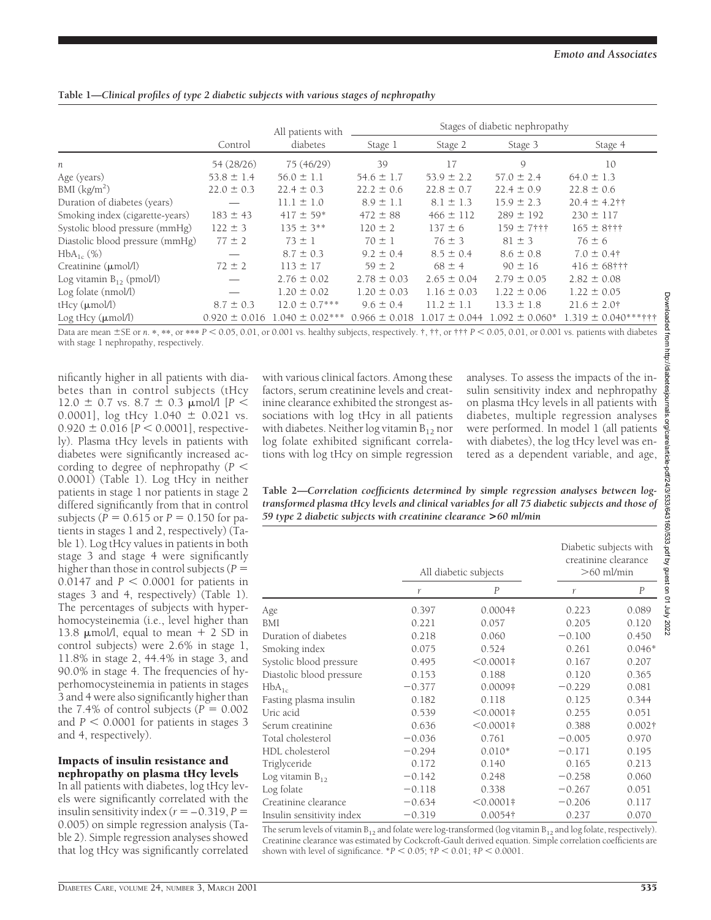|                                    |                   | All patients with   | Stages of diabetic nephropathy |                   |                    |                     |
|------------------------------------|-------------------|---------------------|--------------------------------|-------------------|--------------------|---------------------|
|                                    | Control           | diabetes            | Stage 1                        | Stage 2           | Stage 3            | Stage 4             |
| n                                  | 54 (28/26)        | 75 (46/29)          | 39                             | 17                | 9                  | 10                  |
| Age (years)                        | $53.8 \pm 1.4$    | $56.0 \pm 1.1$      | $54.6 \pm 1.7$                 | $53.9 \pm 2.2$    | $57.0 \pm 2.4$     | $64.0 \pm 1.3$      |
| BMI $(kg/m2)$                      | $22.0 \pm 0.3$    | $22.4 \pm 0.3$      | $22.2 \pm 0.6$                 | $22.8 \pm 0.7$    | $22.4 \pm 0.9$     | $22.8 \pm 0.6$      |
| Duration of diabetes (years)       |                   | $11.1 \pm 1.0$      | $8.9 \pm 1.1$                  | $8.1 \pm 1.3$     | $15.9 \pm 2.3$     | $20.4 \pm 4.2$ ††   |
| Smoking index (cigarette-years)    | $183 \pm 43$      | $417 \pm 59*$       | $472 \pm 88$                   | $466 \pm 112$     | $289 \pm 192$      | $230 \pm 117$       |
| Systolic blood pressure (mmHg)     | $122 \pm 3$       | $135 \pm 3**$       | $120 \pm 2$                    | $137 \pm 6$       | $159 + 7$ † † †    | $165 \pm 8$ †††     |
| Diastolic blood pressure (mmHg)    | $77 \pm 2$        | $73 \pm 1$          | $70 \pm 1$                     | $76 \pm 3$        | $81 \pm 3$         | $76 \pm 6$          |
| $HbA_{1c}$ (%)                     |                   | $8.7 \pm 0.3$       | $9.2 \pm 0.4$                  | $8.5 \pm 0.4$     | $8.6 \pm 0.8$      | $7.0 \pm 0.4$ †     |
| $C$ reatinine $(\mu \text{mol/l})$ | $72 \pm 2$        | $113 \pm 17$        | $59 \pm 2$                     | $68 \pm 4$        | $90 \pm 16$        | $416 \pm 68$ †††    |
| Log vitamin $B_{12}$ (pmol/l)      |                   | $2.76 \pm 0.02$     | $2.78 \pm 0.03$                | $2.65 \pm 0.04$   | $2.79 \pm 0.05$    | $2.82 \pm 0.08$     |
| Log folate (nmol/l)                |                   | $1.20 \pm 0.02$     | $1.20 \pm 0.03$                | $1.16 \pm 0.03$   | $1.22 \pm 0.06$    | $1.22 \pm 0.05$     |
| tHcy (µmol/l)                      | $8.7 \pm 0.3$     | $12.0 \pm 0.7***$   | $9.6 \pm 0.4$                  | $11.2 \pm 1.1$    | $13.3 \pm 1.8$     | $21.6 \pm 2.0$ †    |
| Log tHcy $(\mu$ mol/l)             | $0.920 \pm 0.016$ | $1.040 \pm 0.02***$ | $0.966 \pm 0.018$              | $1.017 \pm 0.044$ | $1.092 \pm 0.060*$ | 1.319 ± 0.040***††† |

**Table 1—***Clinical profiles of type 2 diabetic subjects with various stages of nephropathy*

Data are mean  $\pm$  SE or *n*. \*, \*\*, or \*\*\*  $P < 0.05$ , 0.01, or 0.001 vs. healthy subjects, respectively. †, ††, or ††  $P < 0.05$ , 0.01, or 0.001 vs. patients with diabetes with stage 1 nephropathy, respectively.

nificantly higher in all patients with diabetes than in control subjects (tHcy 12.0  $\pm$  0.7 vs. 8.7  $\pm$  0.3  $\mu$ mol/l [*P*  $\leq$ 0.0001],  $log$  tHcy 1.040  $\pm$  0.021 vs.  $0.920 \pm 0.016$  [ $P < 0.0001$ ], respectively). Plasma tHcy levels in patients with diabetes were significantly increased according to degree of nephropathy  $(P \leq$ 0.0001) (Table 1). Log tHcy in neither patients in stage 1 nor patients in stage 2 differed significantly from that in control subjects ( $P = 0.615$  or  $P = 0.150$  for patients in stages 1 and 2, respectively) (Table 1). Log tHcy values in patients in both stage 3 and stage 4 were significantly higher than those in control subjects ( $P =$  $0.0147$  and  $P < 0.0001$  for patients in stages 3 and 4, respectively) (Table 1). The percentages of subjects with hyperhomocysteinemia (i.e., level higher than 13.8  $\mu$ mol/l, equal to mean + 2 SD in control subjects) were 2.6% in stage 1, 11.8% in stage 2, 44.4% in stage 3, and 90.0% in stage 4. The frequencies of hyperhomocysteinemia in patients in stages 3 and 4 were also significantly higher than the 7.4% of control subjects  $(P = 0.002)$ and  $P < 0.0001$  for patients in stages 3 and 4, respectively).

#### Impacts of insulin resistance and nephropathy on plasma tHcy levels

In all patients with diabetes, log tHcy levels were significantly correlated with the insulin sensitivity index  $(r = -0.319, P =$ 0.005) on simple regression analysis (Table 2). Simple regression analyses showed that log tHcy was significantly correlated with various clinical factors. Among these factors, serum creatinine levels and creatinine clearance exhibited the strongest associations with log tHcy in all patients with diabetes. Neither  $\log$  vitamin  $B_{12}$  nor log folate exhibited significant correlations with log tHcy on simple regression analyses. To assess the impacts of the insulin sensitivity index and nephropathy on plasma tHcy levels in all patients with diabetes, multiple regression analyses were performed. In model 1 (all patients with diabetes), the log tHcy level was entered as a dependent variable, and age,

**Table 2—***Correlation coefficients determined by simple regression analyses between logtransformed plasma tHcy levels and clinical variables for all 75 diabetic subjects and those of 59 type 2 diabetic subjects with creatinine clearance* **>***60 ml/min*

|                           |          | All diabetic subjects | Diabetic subjects with<br>creatinine clearance<br>$>60$ ml/min |                  |
|---------------------------|----------|-----------------------|----------------------------------------------------------------|------------------|
|                           | r        | $\overline{P}$        | r                                                              | $\boldsymbol{P}$ |
| Age                       | 0.397    | $0.0004*$             | 0.223                                                          | 0.089            |
| BMI                       | 0.221    | 0.057                 | 0.205                                                          | 0.120            |
| Duration of diabetes      | 0.218    | 0.060                 | $-0.100$                                                       | 0.450            |
| Smoking index             | 0.075    | 0.524                 | 0.261                                                          | $0.046*$         |
| Systolic blood pressure   | 0.495    | $< 0.0001$ #          | 0.167                                                          | 0.207            |
| Diastolic blood pressure  | 0.153    | 0.188                 | 0.120                                                          | 0.365            |
| $HbA_{1c}$                | $-0.377$ | 0.0009 <sup>‡</sup>   | $-0.229$                                                       | 0.081            |
| Fasting plasma insulin    | 0.182    | 0.118                 | 0.125                                                          | 0.344            |
| Uric acid                 | 0.539    | $< 0.0001$ #          | 0.255                                                          | 0.051            |
| Serum creatinine          | 0.636    | $< 0.0001$ #          | 0.388                                                          | $0.002\dagger$   |
| Total cholesterol         | $-0.036$ | 0.761                 | $-0.005$                                                       | 0.970            |
| HDL cholesterol           | $-0.294$ | $0.010*$              | $-0.171$                                                       | 0.195            |
| Triglyceride              | 0.172    | 0.140                 | 0.165                                                          | 0.213            |
| Log vitamin $B_{12}$      | $-0.142$ | 0.248                 | $-0.258$                                                       | 0.060            |
| Log folate                | $-0.118$ | 0.338                 | $-0.267$                                                       | 0.051            |
| Creatinine clearance      | $-0.634$ | $< 0.0001$ #          | $-0.206$                                                       | 0.117            |
| Insulin sensitivity index | $-0.319$ | 0.0054†               | 0.237                                                          | 0.070            |

The serum levels of vitamin  $B_{12}$  and folate were log-transformed (log vitamin  $B_{12}$  and log folate, respectively). Creatinine clearance was estimated by Cockcroft-Gault derived equation. Simple correlation coefficients are shown with level of significance.  ${}^*P$  < 0.05;  ${}^{\dagger}P$  < 0.01;  ${}^{\dagger}P$  < 0.0001.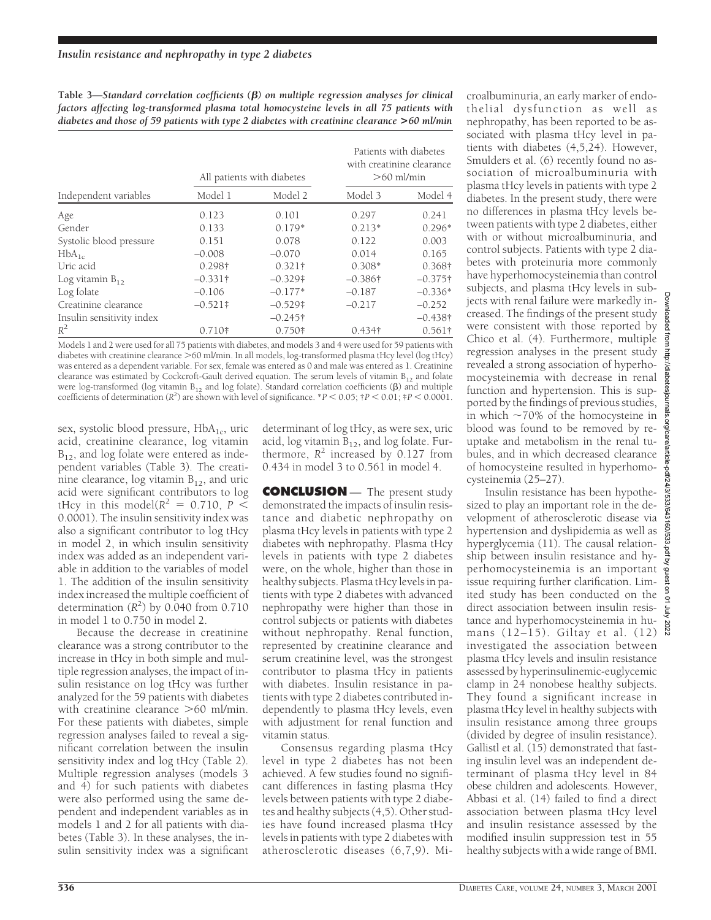**Table 3—***Standard correlation coefficients (*b*) on multiple regression analyses for clinical factors affecting log-transformed plasma total homocysteine levels in all 75 patients with diabetes and those of 59 patients with type 2 diabetes with creatinine clearance* **>***60 ml/min*

|                           |                 | All patients with diabetes | Patients with diabetes<br>with creatinine clearance<br>$>60$ ml/min |                 |
|---------------------------|-----------------|----------------------------|---------------------------------------------------------------------|-----------------|
| Independent variables     | Model 1         | Model 2                    | Model 3                                                             | Model 4         |
| Age                       | 0.123           | 0.101                      | 0.297                                                               | 0.241           |
| Gender                    | 0.133           | $0.179*$                   | $0.213*$                                                            | $0.296*$        |
| Systolic blood pressure   | 0.151           | 0.078                      | 0.122                                                               | 0.003           |
| $HbA_{1c}$                | $-0.008$        | $-0.070$                   | 0.014                                                               | 0.165           |
| Uric acid                 | 0.298†          | $0.321\dagger$             | $0.308*$                                                            | 0.368†          |
| Log vitamin $B_{12}$      | $-0.331\dagger$ | $-0.329\dagger$            | $-0.386\dagger$                                                     | $-0.375\dagger$ |
| Log folate                | $-0.106$        | $-0.177*$                  | $-0.187$                                                            | $-0.336*$       |
| Creatinine clearance      | $-0.521$ †      | $-0.529\dagger$            | $-0.217$                                                            | $-0.252$        |
| Insulin sensitivity index |                 | $-0.245\dagger$            |                                                                     | $-0.438\dagger$ |
| $R^2$                     | $0.710*$        | $0.750*$                   | $0.434\dagger$                                                      | $0.561\dagger$  |

Models 1 and 2 were used for all 75 patients with diabetes, and models 3 and 4 were used for 59 patients with diabetes with creatinine clearance  $\gtrsim 60$  ml/min. In all models, log-transformed plasma tHcy level (log tHcy) was entered as a dependent variable. For sex, female was entered as 0 and male was entered as 1. Creatinine clearance was estimated by Cockcroft-Gault derived equation. The serum levels of vitamin  $B_{12}$  and folate were log-transformed (log vitamin  $B_{12}$  and log folate). Standard correlation coefficients ( $\beta$ ) and multiple coefficients of determination  $(R^2)$  are shown with level of significance.  $*P < 0.05$ ;  $\uparrow P < 0.01$ ;  $\uparrow P < 0.0001$ .

sex, systolic blood pressure,  $HbA_{1c}$ , uric acid, creatinine clearance, log vitamin  $B_{12}$ , and log folate were entered as independent variables (Table 3). The creatinine clearance, log vitamin  $B_{12}$ , and uric acid were significant contributors to log tHcy in this model( $R^2 = 0.710$ ,  $P \leq$ 0.0001). The insulin sensitivity index was also a significant contributor to log tHcy in model 2, in which insulin sensitivity index was added as an independent variable in addition to the variables of model 1. The addition of the insulin sensitivity index increased the multiple coefficient of determination  $(R^2)$  by 0.040 from 0.710 in model 1 to 0.750 in model 2.

Because the decrease in creatinine clearance was a strong contributor to the increase in tHcy in both simple and multiple regression analyses, the impact of insulin resistance on log tHcy was further analyzed for the 59 patients with diabetes with creatinine clearance  $>60$  ml/min. For these patients with diabetes, simple regression analyses failed to reveal a significant correlation between the insulin sensitivity index and log tHcy (Table 2). Multiple regression analyses (models 3 and 4) for such patients with diabetes were also performed using the same dependent and independent variables as in models 1 and 2 for all patients with diabetes (Table 3). In these analyses, the insulin sensitivity index was a significant

determinant of log tHcy, as were sex, uric acid, log vitamin  $B_{12}$ , and log folate. Furthermore,  $R^2$  increased by  $0.127$  from 0.434 in model 3 to 0.561 in model 4.

**CONCLUSION** — The present study demonstrated the impacts of insulin resistance and diabetic nephropathy on plasma tHcy levels in patients with type 2 diabetes with nephropathy. Plasma tHcy levels in patients with type 2 diabetes were, on the whole, higher than those in healthy subjects. Plasma tHcy levels in patients with type 2 diabetes with advanced nephropathy were higher than those in control subjects or patients with diabetes without nephropathy. Renal function, represented by creatinine clearance and serum creatinine level, was the strongest contributor to plasma tHcy in patients with diabetes. Insulin resistance in patients with type 2 diabetes contributed independently to plasma tHcy levels, even with adjustment for renal function and vitamin status.

Consensus regarding plasma tHcy level in type 2 diabetes has not been achieved. A few studies found no significant differences in fasting plasma tHcy levels between patients with type 2 diabetes and healthy subjects (4,5). Other studies have found increased plasma tHcy levels in patients with type 2 diabetes with atherosclerotic diseases (6,7,9). Microalbuminuria, an early marker of endothelial dysfunction as well as nephropathy, has been reported to be associated with plasma tHcy level in patients with diabetes (4,5,24). However, Smulders et al. (6) recently found no association of microalbuminuria with plasma tHcy levels in patients with type 2 diabetes. In the present study, there were no differences in plasma tHcy levels between patients with type 2 diabetes, either with or without microalbuminuria, and control subjects. Patients with type 2 diabetes with proteinuria more commonly have hyperhomocysteinemia than control subjects, and plasma tHcy levels in subjects with renal failure were markedly increased. The findings of the present study were consistent with those reported by Chico et al. (4). Furthermore, multiple regression analyses in the present study revealed a strong association of hyperhomocysteinemia with decrease in renal function and hypertension. This is supported by the findings of previous studies, in which  $\sim$ 70% of the homocysteine in blood was found to be removed by reuptake and metabolism in the renal tubules, and in which decreased clearance of homocysteine resulted in hyperhomocysteinemia (25–27).

Insulin resistance has been hypothesized to play an important role in the development of atherosclerotic disease via hypertension and dyslipidemia as well as hyperglycemia (11). The causal relationship between insulin resistance and hyperhomocysteinemia is an important issue requiring further clarification. Limited study has been conducted on the direct association between insulin resistance and hyperhomocysteinemia in humans (12–15). Giltay et al. (12) investigated the association between plasma tHcy levels and insulin resistance assessed by hyperinsulinemic-euglycemic clamp in 24 nonobese healthy subjects. They found a significant increase in plasma tHcy level in healthy subjects with insulin resistance among three groups (divided by degree of insulin resistance). Gallistl et al. (15) demonstrated that fasting insulin level was an independent determinant of plasma tHcy level in 84 obese children and adolescents. However, Abbasi et al. (14) failed to find a direct association between plasma tHcy level and insulin resistance assessed by the modified insulin suppression test in 55 healthy subjects with a wide range of BMI.

Down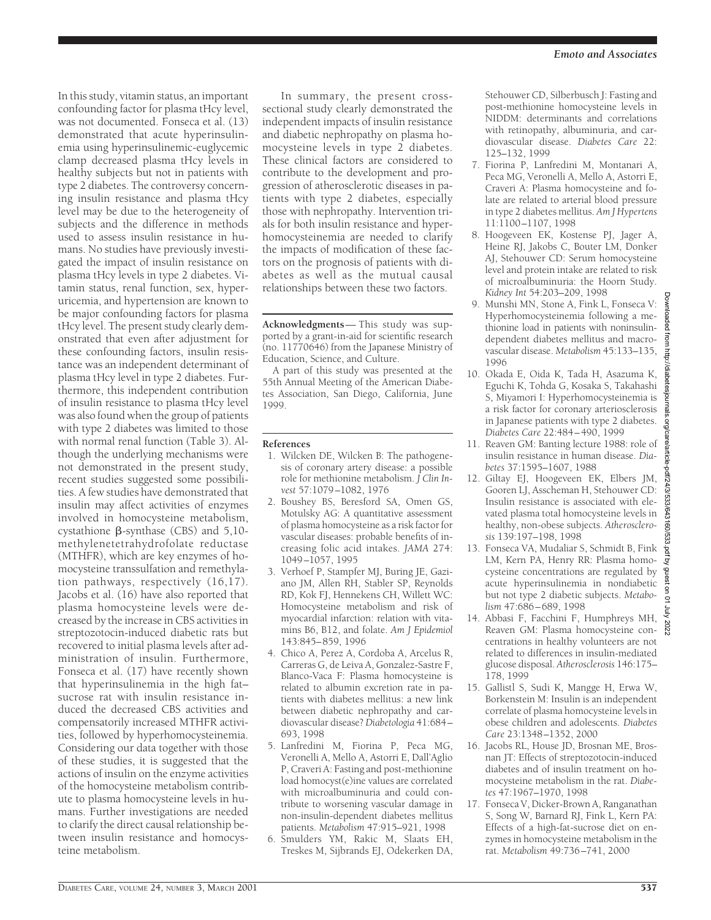In this study, vitamin status, an important confounding factor for plasma tHcy level, was not documented. Fonseca et al. (13) demonstrated that acute hyperinsulinemia using hyperinsulinemic-euglycemic clamp decreased plasma tHcy levels in healthy subjects but not in patients with type 2 diabetes. The controversy concerning insulin resistance and plasma tHcy level may be due to the heterogeneity of subjects and the difference in methods used to assess insulin resistance in humans. No studies have previously investigated the impact of insulin resistance on plasma tHcy levels in type 2 diabetes. Vitamin status, renal function, sex, hyperuricemia, and hypertension are known to be major confounding factors for plasma tHcy level. The present study clearly demonstrated that even after adjustment for these confounding factors, insulin resistance was an independent determinant of plasma tHcy level in type 2 diabetes. Furthermore, this independent contribution of insulin resistance to plasma tHcy level was also found when the group of patients with type 2 diabetes was limited to those with normal renal function (Table 3). Although the underlying mechanisms were not demonstrated in the present study, recent studies suggested some possibilities. A few studies have demonstrated that insulin may affect activities of enzymes involved in homocysteine metabolism, cystathione  $\beta$ -synthase (CBS) and 5,10methylenetetrahydrofolate reductase (MTHFR), which are key enzymes of homocysteine transsulfation and remethylation pathways, respectively (16,17). Jacobs et al. (16) have also reported that plasma homocysteine levels were decreased by the increase in CBS activities in streptozotocin-induced diabetic rats but recovered to initial plasma levels after administration of insulin. Furthermore, Fonseca et al. (17) have recently shown that hyperinsulinemia in the high fat– sucrose rat with insulin resistance induced the decreased CBS activities and compensatorily increased MTHFR activities, followed by hyperhomocysteinemia. Considering our data together with those of these studies, it is suggested that the actions of insulin on the enzyme activities of the homocysteine metabolism contribute to plasma homocysteine levels in humans. Further investigations are needed to clarify the direct causal relationship between insulin resistance and homocysteine metabolism.

In summary, the present crosssectional study clearly demonstrated the independent impacts of insulin resistance and diabetic nephropathy on plasma homocysteine levels in type 2 diabetes. These clinical factors are considered to contribute to the development and progression of atherosclerotic diseases in patients with type 2 diabetes, especially those with nephropathy. Intervention trials for both insulin resistance and hyperhomocysteinemia are needed to clarify the impacts of modification of these factors on the prognosis of patients with diabetes as well as the mutual causal relationships between these two factors.

**Acknowledgments**— This study was supported by a grant-in-aid for scientific research (no. 11770646) from the Japanese Ministry of Education, Science, and Culture.

A part of this study was presented at the 55th Annual Meeting of the American Diabetes Association, San Diego, California, June 1999.

#### **References**

- 1. Wilcken DE, Wilcken B: The pathogenesis of coronary artery disease: a possible role for methionine metabolism. *J Clin Invest* 57:1079–1082, 1976
- 2. Boushey BS, Beresford SA, Omen GS, Motulsky AG: A quantitative assessment of plasma homocysteine as a risk factor for vascular diseases: probable benefits of increasing folic acid intakes. *JAMA* 274: 1049–1057, 1995
- 3. Verhoef P, Stampfer MJ, Buring JE, Gaziano JM, Allen RH, Stabler SP, Reynolds RD, Kok FJ, Hennekens CH, Willett WC: Homocysteine metabolism and risk of myocardial infarction: relation with vitamins B6, B12, and folate. *Am J Epidemiol* 143:845–859, 1996
- 4. Chico A, Perez A, Cordoba A, Arcelus R, Carreras G, de Leiva A, Gonzalez-Sastre F, Blanco-Vaca F: Plasma homocysteine is related to albumin excretion rate in patients with diabetes mellitus: a new link between diabetic nephropathy and cardiovascular disease? *Diabetologia* 41:684– 693, 1998
- 5. Lanfredini M, Fiorina P, Peca MG, Veronelli A, Mello A, Astorri E, Dall'Aglio P, Craveri A: Fasting and post-methionine load homocyst(e)ine values are correlated with microalbuminuria and could contribute to worsening vascular damage in non-insulin-dependent diabetes mellitus patients. *Metabolism* 47:915–921, 1998
- 6. Smulders YM, Rakic M, Slaats EH, Treskes M, Sijbrands EJ, Odekerken DA,

Stehouwer CD, Silberbusch J: Fasting and post-methionine homocysteine levels in NIDDM: determinants and correlations with retinopathy, albuminuria, and cardiovascular disease. *Diabetes Care* 22: 125–132, 1999

- 7. Fiorina P, Lanfredini M, Montanari A, Peca MG, Veronelli A, Mello A, Astorri E, Craveri A: Plasma homocysteine and folate are related to arterial blood pressure in type 2 diabetes mellitus. *Am J Hypertens* 11:1100–1107, 1998
- 8. Hoogeveen EK, Kostense PJ, Jager A, Heine RJ, Jakobs C, Bouter LM, Donker AJ, Stehouwer CD: Serum homocysteine level and protein intake are related to risk of microalbuminuria: the Hoorn Study. *Kidney Int* 54:203–209, 1998
- 9. Munshi MN, Stone A, Fink L, Fonseca V: Hyperhomocysteinemia following a methionine load in patients with noninsulindependent diabetes mellitus and macrovascular disease. *Metabolism* 45:133–135, 1996
- 10. Okada E, Oida K, Tada H, Asazuma K, Eguchi K, Tohda G, Kosaka S, Takahashi S, Miyamori I: Hyperhomocysteinemia is a risk factor for coronary arteriosclerosis in Japanese patients with type 2 diabetes. *Diabetes Care* 22:484–490, 1999
- 11. Reaven GM: Banting lecture 1988: role of insulin resistance in human disease. *Diabetes* 37:1595–1607, 1988
- 12. Giltay EJ, Hoogeveen EK, Elbers JM, Gooren LJ, Asscheman H, Stehouwer CD: Insulin resistance is associated with elevated plasma total homocysteine levels in healthy, non-obese subjects. *Atherosclerosis* 139:197–198, 1998
- 13. Fonseca VA, Mudaliar S, Schmidt B, Fink LM, Kern PA, Henry RR: Plasma homocysteine concentrations are regulated by acute hyperinsulinemia in nondiabetic but not type 2 diabetic subjects. *Metabolism* 47:686–689, 1998
- 14. Abbasi F, Facchini F, Humphreys MH, Reaven GM: Plasma homocysteine concentrations in healthy volunteers are not related to differences in insulin-mediated glucose disposal. *Atherosclerosis* 146:175– 178, 1999
- 15. Gallistl S, Sudi K, Mangge H, Erwa W, Borkenstein M: Insulin is an independent correlate of plasma homocysteine levels in obese children and adolescents. *Diabetes Care* 23:1348–1352, 2000
- 16. Jacobs RL, House JD, Brosnan ME, Brosnan JT: Effects of streptozotocin-induced diabetes and of insulin treatment on homocysteine metabolism in the rat. *Diabetes* 47:1967–1970, 1998
- 17. Fonseca V, Dicker-Brown A, Ranganathan S, Song W, Barnard RJ, Fink L, Kern PA: Effects of a high-fat-sucrose diet on enzymes in homocysteine metabolism in the rat. *Metabolism* 49:736–741, 2000

ownloaded

mom  $\frac{1}{4}$